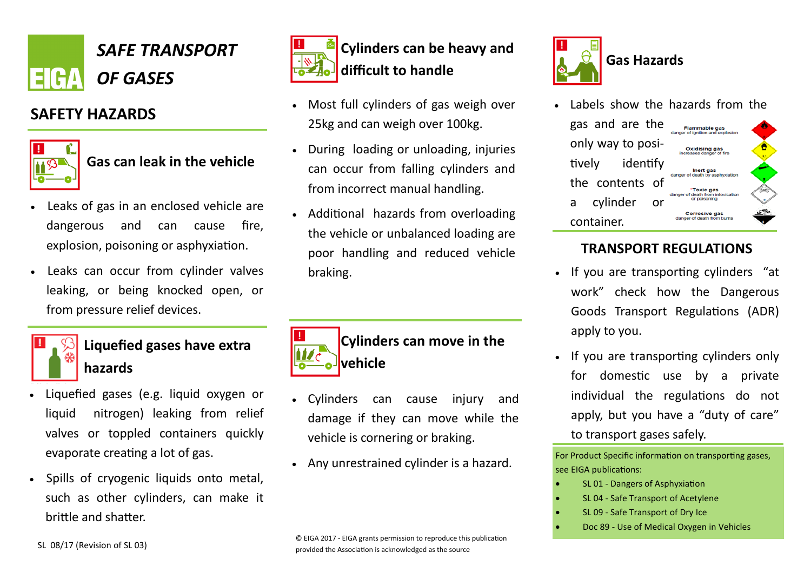

## **SAFETY HAZARDS**



## **Gas can leak in the vehicle**

- Leaks of gas in an enclosed vehicle are dangerous and can cause fire, explosion, poisoning or asphyxiation.
- Leaks can occur from cylinder valves leaking, or being knocked open, or from pressure relief devices.



### **Liquefied gases have extra hazards**

- Liquefied gases (e.g. liquid oxygen or liquid nitrogen) leaking from relief valves or toppled containers quickly evaporate creating a lot of gas.
- Spills of cryogenic liquids onto metal, such as other cylinders, can make it brittle and shatter.



- Most full cylinders of gas weigh over 25kg and can weigh over 100kg.
- During loading or unloading, injuries can occur from falling cylinders and from incorrect manual handling.
- Additional hazards from overloading the vehicle or unbalanced loading are poor handling and reduced vehicle braking.



- Cylinders can cause injury and damage if they can move while the vehicle is cornering or braking.
- Any unrestrained cylinder is a hazard.



gas and are the **Flammable gas** danger of ignition and expl Oxidising gas tively identify Inert gas death by asph the contents of \*Toxic gas or of dooth from in a cylinder or Corrosive gas container.

#### **TRANSPORT REGULATIONS**

**Gas Hazards**

- If you are transporting cylinders "at work" check how the Dangerous Goods Transport Regulations (ADR) apply to you.
- If you are transporting cylinders only for domestic use by a private individual the regulations do not apply, but you have a "duty of care" to transport gases safely.

For Product Specific information on transporting gases, see EIGA publications:

- SL 01 Dangers of Asphyxiation
- SL 04 Safe Transport of Acetylene
- SL 09 Safe Transport of Dry Ice
- Doc 89 Use of Medical Oxygen in Vehicles